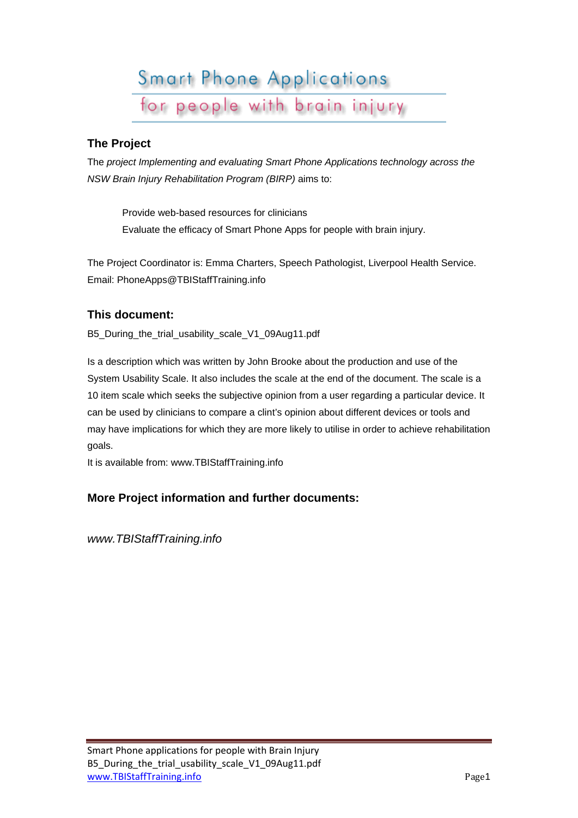# Smart Phone Applications<br>for people with brain injury

#### **The Project**

The *project Implementing and evaluating Smart Phone Applications technology across the NSW Brain Injury Rehabilitation Program (BIRP)* aims to:

Provide web-based resources for clinicians Evaluate the efficacy of Smart Phone Apps for people with brain injury.

The Project Coordinator is: Emma Charters, Speech Pathologist, Liverpool Health Service. Email: PhoneApps@TBIStaffTraining.info

#### **This document:**

B5\_During\_the\_trial\_usability\_scale\_V1\_09Aug11.pdf

Is a description which was written by John Brooke about the production and use of the System Usability Scale. It also includes the scale at the end of the document. The scale is a 10 item scale which seeks the subjective opinion from a user regarding a particular device. It can be used by clinicians to compare a clint's opinion about different devices or tools and may have implications for which they are more likely to utilise in order to achieve rehabilitation goals.

It is available from: www.TBIStaffTraining.info

#### **More Project information and further documents:**

*www.TBIStaffTraining.info*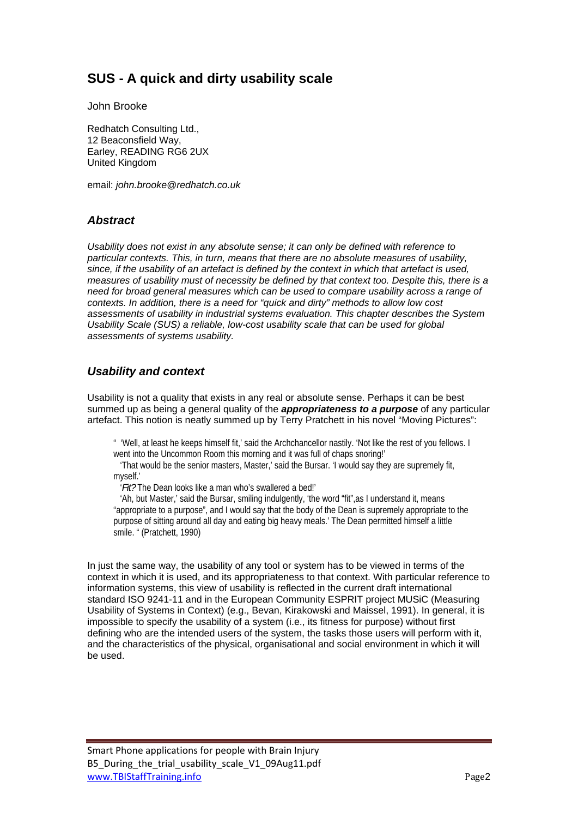## **SUS - A quick and dirty usability scale**

John Brooke

Redhatch Consulting Ltd., 12 Beaconsfield Way, Earley, READING RG6 2UX United Kingdom

email: *john.brooke@redhatch.co.uk*

#### *Abstract*

*Usability does not exist in any absolute sense; it can only be defined with reference to particular contexts. This, in turn, means that there are no absolute measures of usability, since, if the usability of an artefact is defined by the context in which that artefact is used, measures of usability must of necessity be defined by that context too. Despite this, there is a need for broad general measures which can be used to compare usability across a range of contexts. In addition, there is a need for "quick and dirty" methods to allow low cost assessments of usability in industrial systems evaluation. This chapter describes the System Usability Scale (SUS) a reliable, low-cost usability scale that can be used for global assessments of systems usability.* 

#### *Usability and context*

Usability is not a quality that exists in any real or absolute sense. Perhaps it can be best summed up as being a general quality of the *appropriateness to a purpose* of any particular artefact. This notion is neatly summed up by Terry Pratchett in his novel "Moving Pictures":

" 'Well, at least he keeps himself fit,' said the Archchancellor nastily. 'Not like the rest of you fellows. I went into the Uncommon Room this morning and it was full of chaps snoring!'

 'That would be the senior masters, Master,' said the Bursar. 'I would say they are supremely fit, myself.'

'*Fit?* The Dean looks like a man who's swallered a bed!'

 'Ah, but Master,' said the Bursar, smiling indulgently, 'the word "fit",as I understand it, means "appropriate to a purpose", and I would say that the body of the Dean is supremely appropriate to the purpose of sitting around all day and eating big heavy meals.' The Dean permitted himself a little smile. " (Pratchett, 1990)

In just the same way, the usability of any tool or system has to be viewed in terms of the context in which it is used, and its appropriateness to that context. With particular reference to information systems, this view of usability is reflected in the current draft international standard ISO 9241-11 and in the European Community ESPRIT project MUSiC (Measuring Usability of Systems in Context) (e.g., Bevan, Kirakowski and Maissel, 1991). In general, it is impossible to specify the usability of a system (i.e., its fitness for purpose) without first defining who are the intended users of the system, the tasks those users will perform with it, and the characteristics of the physical, organisational and social environment in which it will be used.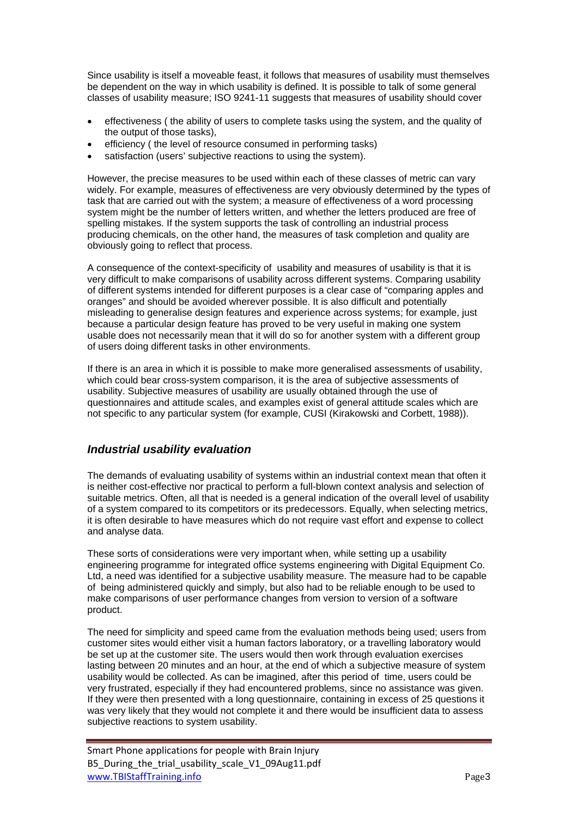Since usability is itself a moveable feast, it follows that measures of usability must themselves be dependent on the way in which usability is defined. It is possible to talk of some general classes of usability measure; ISO 9241-11 suggests that measures of usability should cover

- effectiveness ( the ability of users to complete tasks using the system, and the quality of the output of those tasks),
- efficiency ( the level of resource consumed in performing tasks)
- satisfaction (users' subjective reactions to using the system).

However, the precise measures to be used within each of these classes of metric can vary widely. For example, measures of effectiveness are very obviously determined by the types of task that are carried out with the system; a measure of effectiveness of a word processing system might be the number of letters written, and whether the letters produced are free of spelling mistakes. If the system supports the task of controlling an industrial process producing chemicals, on the other hand, the measures of task completion and quality are obviously going to reflect that process.

A consequence of the context-specificity of usability and measures of usability is that it is very difficult to make comparisons of usability across different systems. Comparing usability of different systems intended for different purposes is a clear case of "comparing apples and oranges" and should be avoided wherever possible. It is also difficult and potentially misleading to generalise design features and experience across systems; for example, just because a particular design feature has proved to be very useful in making one system usable does not necessarily mean that it will do so for another system with a different group of users doing different tasks in other environments.

If there is an area in which it is possible to make more generalised assessments of usability, which could bear cross-system comparison, it is the area of subjective assessments of usability. Subjective measures of usability are usually obtained through the use of questionnaires and attitude scales, and examples exist of general attitude scales which are not specific to any particular system (for example, CUSI (Kirakowski and Corbett, 1988)).

#### *Industrial usability evaluation*

The demands of evaluating usability of systems within an industrial context mean that often it is neither cost-effective nor practical to perform a full-blown context analysis and selection of suitable metrics. Often, all that is needed is a general indication of the overall level of usability of a system compared to its competitors or its predecessors. Equally, when selecting metrics, it is often desirable to have measures which do not require vast effort and expense to collect and analyse data.

These sorts of considerations were very important when, while setting up a usability engineering programme for integrated office systems engineering with Digital Equipment Co. Ltd, a need was identified for a subjective usability measure. The measure had to be capable of being administered quickly and simply, but also had to be reliable enough to be used to make comparisons of user performance changes from version to version of a software product.

The need for simplicity and speed came from the evaluation methods being used; users from customer sites would either visit a human factors laboratory, or a travelling laboratory would be set up at the customer site. The users would then work through evaluation exercises lasting between 20 minutes and an hour, at the end of which a subjective measure of system usability would be collected. As can be imagined, after this period of time, users could be very frustrated, especially if they had encountered problems, since no assistance was given. If they were then presented with a long questionnaire, containing in excess of 25 questions it was very likely that they would not complete it and there would be insufficient data to assess subjective reactions to system usability.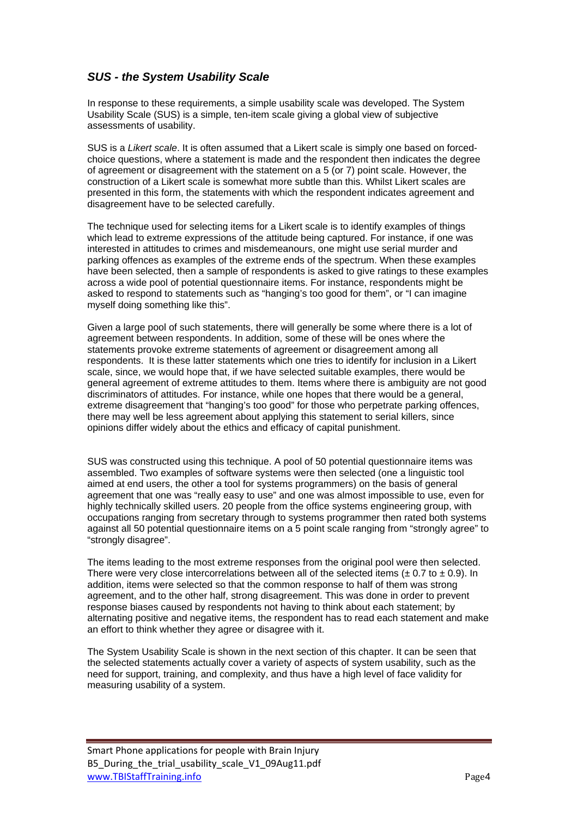#### *SUS - the System Usability Scale*

In response to these requirements, a simple usability scale was developed. The System Usability Scale (SUS) is a simple, ten-item scale giving a global view of subjective assessments of usability.

SUS is a *Likert scale*. It is often assumed that a Likert scale is simply one based on forcedchoice questions, where a statement is made and the respondent then indicates the degree of agreement or disagreement with the statement on a 5 (or 7) point scale. However, the construction of a Likert scale is somewhat more subtle than this. Whilst Likert scales are presented in this form, the statements with which the respondent indicates agreement and disagreement have to be selected carefully.

The technique used for selecting items for a Likert scale is to identify examples of things which lead to extreme expressions of the attitude being captured. For instance, if one was interested in attitudes to crimes and misdemeanours, one might use serial murder and parking offences as examples of the extreme ends of the spectrum. When these examples have been selected, then a sample of respondents is asked to give ratings to these examples across a wide pool of potential questionnaire items. For instance, respondents might be asked to respond to statements such as "hanging's too good for them", or "I can imagine myself doing something like this".

Given a large pool of such statements, there will generally be some where there is a lot of agreement between respondents. In addition, some of these will be ones where the statements provoke extreme statements of agreement or disagreement among all respondents. It is these latter statements which one tries to identify for inclusion in a Likert scale, since, we would hope that, if we have selected suitable examples, there would be general agreement of extreme attitudes to them. Items where there is ambiguity are not good discriminators of attitudes. For instance, while one hopes that there would be a general, extreme disagreement that "hanging's too good" for those who perpetrate parking offences, there may well be less agreement about applying this statement to serial killers, since opinions differ widely about the ethics and efficacy of capital punishment.

SUS was constructed using this technique. A pool of 50 potential questionnaire items was assembled. Two examples of software systems were then selected (one a linguistic tool aimed at end users, the other a tool for systems programmers) on the basis of general agreement that one was "really easy to use" and one was almost impossible to use, even for highly technically skilled users. 20 people from the office systems engineering group, with occupations ranging from secretary through to systems programmer then rated both systems against all 50 potential questionnaire items on a 5 point scale ranging from "strongly agree" to "strongly disagree".

The items leading to the most extreme responses from the original pool were then selected. There were very close intercorrelations between all of the selected items ( $\pm$  0.7 to  $\pm$  0.9). In addition, items were selected so that the common response to half of them was strong agreement, and to the other half, strong disagreement. This was done in order to prevent response biases caused by respondents not having to think about each statement; by alternating positive and negative items, the respondent has to read each statement and make an effort to think whether they agree or disagree with it.

The System Usability Scale is shown in the next section of this chapter. It can be seen that the selected statements actually cover a variety of aspects of system usability, such as the need for support, training, and complexity, and thus have a high level of face validity for measuring usability of a system.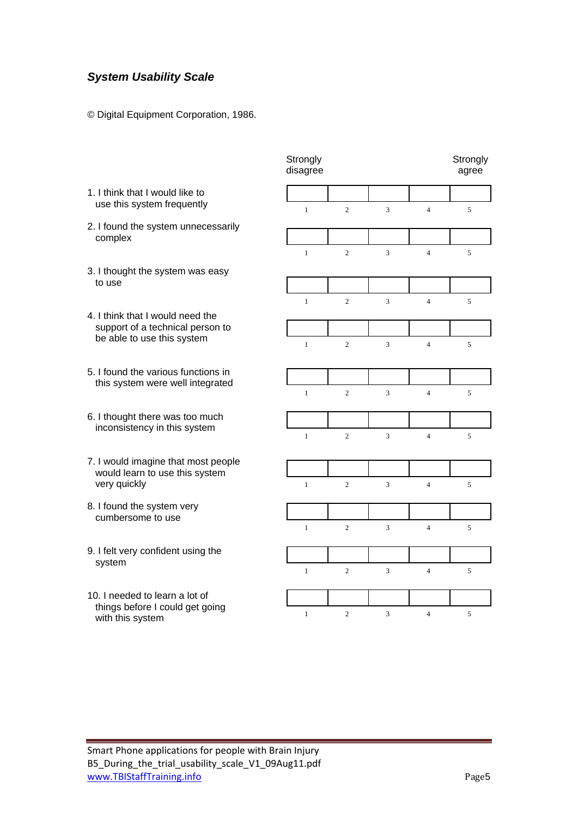#### *System Usability Scale*

© Digital Equipment Corporation, 1986.

- 1. I think that I would like to use this system frequently
- 2. I found the system unnecessarily complex
- 3. I thought the system was easy to use
- 4. I think that I would need the support of a technical person to be able to use this system
- 5. I found the various functions in this system were well integrated
- 6. I thought there was too much inconsistency in this system
- 7. I would imagine that most people would learn to use this system very quickly
- 8. I found the system very cumbersome to use
- 9. I felt very confident using the system
- 10. I needed to learn a lot of things before I could get going with this system

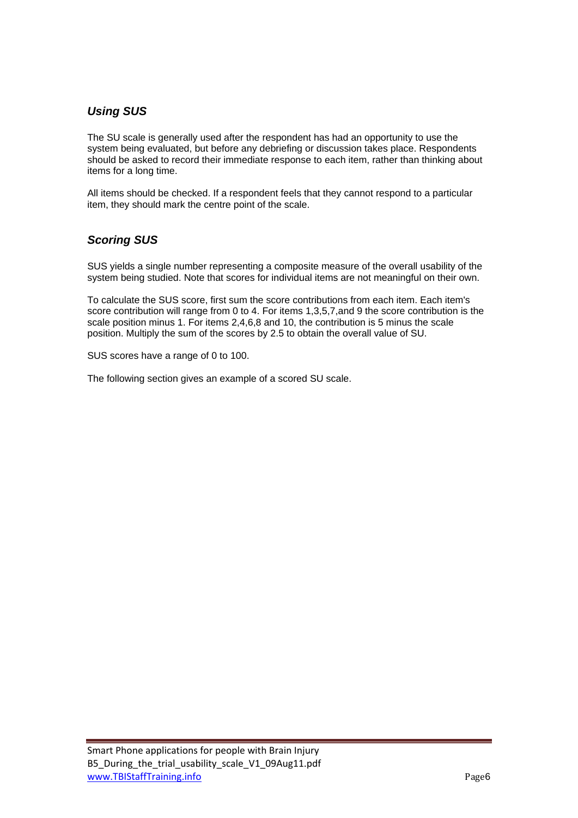#### *Using SUS*

The SU scale is generally used after the respondent has had an opportunity to use the system being evaluated, but before any debriefing or discussion takes place. Respondents should be asked to record their immediate response to each item, rather than thinking about items for a long time.

All items should be checked. If a respondent feels that they cannot respond to a particular item, they should mark the centre point of the scale.

#### *Scoring SUS*

SUS yields a single number representing a composite measure of the overall usability of the system being studied. Note that scores for individual items are not meaningful on their own.

To calculate the SUS score, first sum the score contributions from each item. Each item's score contribution will range from 0 to 4. For items 1,3,5,7,and 9 the score contribution is the scale position minus 1. For items 2,4,6,8 and 10, the contribution is 5 minus the scale position. Multiply the sum of the scores by 2.5 to obtain the overall value of SU.

SUS scores have a range of 0 to 100.

The following section gives an example of a scored SU scale.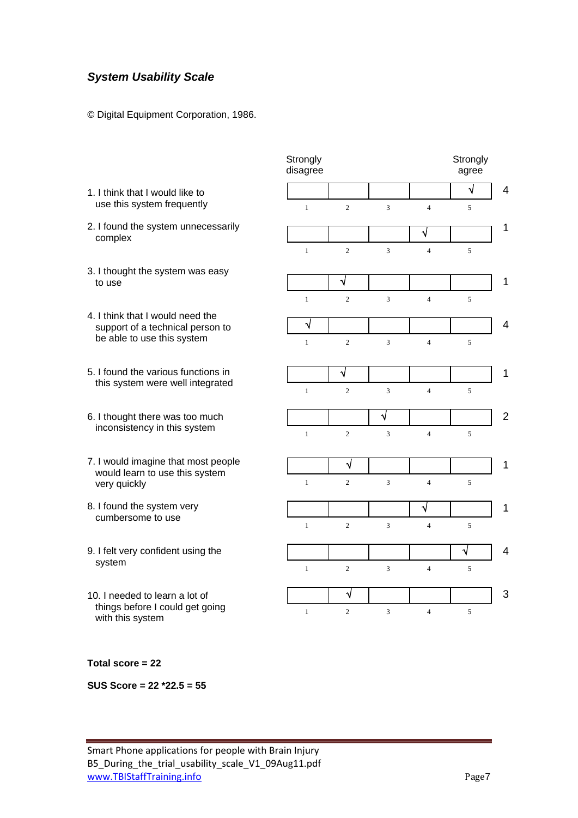#### *System Usability Scale*

© Digital Equipment Corporation, 1986.

- 1. I think that I would like to use this system frequently
- 2. I found the system unnecessarily complex
- 3. I thought the system was easy to use
- 4. I think that I would need the support of a technical person to be able to use this system
- 5. I found the various functions in this system were well integrated
- 6. I thought there was too much inconsistency in this system
- 7. I would imagine that most people would learn to use this system very quickly
- 8. I found the system very cumbersome to use
- 9. I felt very confident using the system
- 10. I needed to learn a lot of things before I could get going with this system



**Total score = 22** 

**SUS Score = 22 \*22.5 = 55**